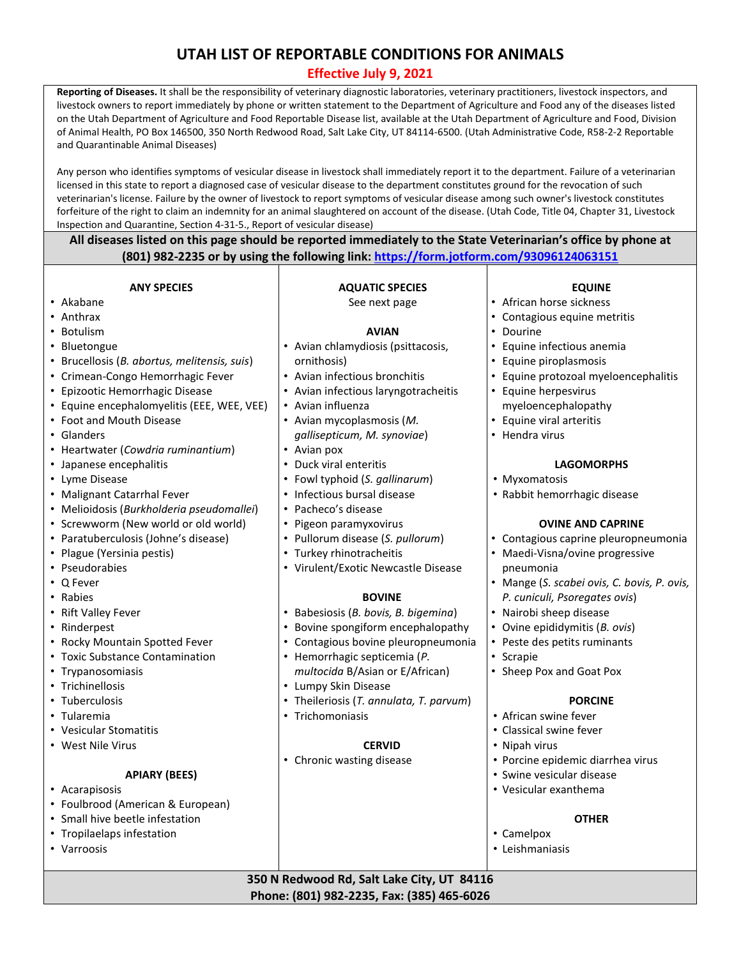# **UTAH LIST OF REPORTABLE CONDITIONS FOR ANIMALS**

# **Effective July 9, 2021**

**Reporting of Diseases.** It shall be the responsibility of veterinary diagnostic laboratories, veterinary practitioners, livestock inspectors, and livestock owners to report immediately by phone or written statement to the Department of Agriculture and Food any of the diseases listed on the Utah Department of Agriculture and Food Reportable Disease list, available at the Utah Department of Agriculture and Food, Division of Animal Health, PO Box 146500, 350 North Redwood Road, Salt Lake City, UT 84114-6500. (Utah Administrative Code, R58-2-2 Reportable and Quarantinable Animal Diseases)

Any person who identifies symptoms of vesicular disease in livestock shall immediately report it to the department. Failure of a veterinarian licensed in this state to report a diagnosed case of vesicular disease to the department constitutes ground for the revocation of such veterinarian's license. Failure by the owner of livestock to report symptoms of vesicular disease among such owner's livestock constitutes forfeiture of the right to claim an indemnity for an animal slaughtered on account of the disease. (Utah Code, Title 04, Chapter 31, Livestock Inspection and Quarantine, Section 4-31-5., Report of vesicular disease)

**All diseases listed on this page should be reported immediately to the State Veterinarian's office by phone at (801) 982-2235 or by using the following link:<https://form.jotform.com/93096124063151>**

#### **ANY SPECIES**

- Akabane
- Anthrax
- Botulism
- Bluetongue
- Brucellosis (*B. abortus, melitensis, suis*)
- Crimean-Congo Hemorrhagic Fever
- Epizootic Hemorrhagic Disease
- Equine encephalomyelitis (EEE, WEE, VEE)
- Foot and Mouth Disease
- Glanders
- Heartwater (*Cowdria ruminantium*)
- Japanese encephalitis
- Lyme Disease
- Malignant Catarrhal Fever
- Melioidosis (*Burkholderia pseudomallei*)
- Screwworm (New world or old world)
- Paratuberculosis (Johne's disease)
- Plague (Yersinia pestis)
- Pseudorabies
- Q Fever
- Rabies
- Rift Valley Fever
- Rinderpest
- Rocky Mountain Spotted Fever
- Toxic Substance Contamination
- Trypanosomiasis
- Trichinellosis
- Tuberculosis
- Tularemia
- Vesicular Stomatitis
- West Nile Virus

## **APIARY (BEES)**

- Acarapisosis
- Foulbrood (American & European)
- Small hive beetle infestation
- Tropilaelaps infestation
- Varroosis

| <b>AQUATIC SPECIES</b> |  |
|------------------------|--|
| See next page          |  |

## **AVIAN**

- Avian chlamydiosis (psittacosis, ornithosis)
- Avian infectious bronchitis
- Avian infectious laryngotracheitis
- Avian influenza
- Avian mycoplasmosis (*M. gallisepticum, M. synoviae*)
- Avian pox
- Duck viral enteritis
- Fowl typhoid (*S. gallinarum*)
- Infectious bursal disease
- Pacheco's disease
- Pigeon paramyxovirus
- Pullorum disease (*S. pullorum*)
- Turkey rhinotracheitis
- Virulent/Exotic Newcastle Disease

## **BOVINE**

- Babesiosis (*B. bovis, B. bigemina*)
- Bovine spongiform encephalopathy
- Contagious bovine pleuropneumonia
- Hemorrhagic septicemia (*P. multocida* B/Asian or E/African)
- Lumpy Skin Disease
- Theileriosis (*T. annulata, T. parvum*)
- Trichomoniasis

# **CERVID**

**350 N Redwood Rd, Salt Lake City, UT 84116 Phone: (801) 982-2235, Fax: (385) 465-6026**

• Chronic wasting disease

# **EQUINE**

- African horse sickness
- Contagious equine metritis
- Dourine
- Equine infectious anemia
- Equine piroplasmosis
- Equine protozoal myeloencephalitis
- Equine herpesvirus myeloencephalopathy
- Equine viral arteritis
- Hendra virus

#### **LAGOMORPHS**

- Myxomatosis
- Rabbit hemorrhagic disease

## **OVINE AND CAPRINE**

- Contagious caprine pleuropneumonia
- Maedi-Visna/ovine progressive pneumonia
- Mange (*S. scabei ovis, C. bovis, P. ovis, P. cuniculi, Psoregates ovis*)
- Nairobi sheep disease
- Ovine epididymitis (*B. ovis*)
- Peste des petits ruminants
- **Scrapie**
- Sheep Pox and Goat Pox

## **PORCINE**

- African swine fever
- Classical swine fever
- Nipah virus
- Porcine epidemic diarrhea virus
- Swine vesicular disease
- Vesicular exanthema

# **OTHER**

• Camelpox • Leishmaniasis